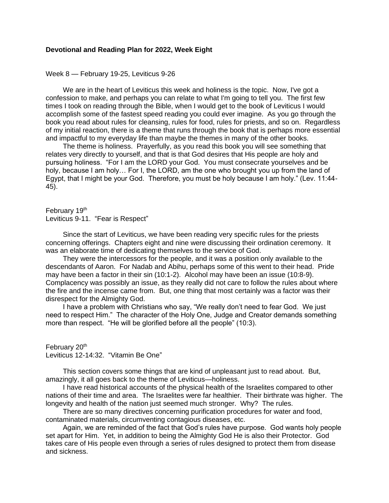## **Devotional and Reading Plan for 2022, Week Eight**

Week 8 — February 19-25, Leviticus 9-26

We are in the heart of Leviticus this week and holiness is the topic. Now, I've got a confession to make, and perhaps you can relate to what I'm going to tell you. The first few times I took on reading through the Bible, when I would get to the book of Leviticus I would accomplish some of the fastest speed reading you could ever imagine. As you go through the book you read about rules for cleansing, rules for food, rules for priests, and so on. Regardless of my initial reaction, there is a theme that runs through the book that is perhaps more essential and impactful to my everyday life than maybe the themes in many of the other books.

The theme is holiness. Prayerfully, as you read this book you will see something that relates very directly to yourself, and that is that God desires that His people are holy and pursuing holiness. "For I am the LORD your God. You must consecrate yourselves and be holy, because I am holy... For I, the LORD, am the one who brought you up from the land of Egypt, that I might be your God. Therefore, you must be holy because I am holy." (Lev. 11:44- 45).

February 19th Leviticus 9-11. "Fear is Respect"

Since the start of Leviticus, we have been reading very specific rules for the priests concerning offerings. Chapters eight and nine were discussing their ordination ceremony. It was an elaborate time of dedicating themselves to the service of God.

They were the intercessors for the people, and it was a position only available to the descendants of Aaron. For Nadab and Abihu, perhaps some of this went to their head. Pride may have been a factor in their sin (10:1-2). Alcohol may have been an issue (10:8-9). Complacency was possibly an issue, as they really did not care to follow the rules about where the fire and the incense came from. But, one thing that most certainly was a factor was their disrespect for the Almighty God.

I have a problem with Christians who say, "We really don't need to fear God. We just need to respect Him." The character of the Holy One, Judge and Creator demands something more than respect. "He will be glorified before all the people" (10:3).

February 20<sup>th</sup> Leviticus 12-14:32. "Vitamin Be One"

This section covers some things that are kind of unpleasant just to read about. But, amazingly, it all goes back to the theme of Leviticus—holiness.

I have read historical accounts of the physical health of the Israelites compared to other nations of their time and area. The Israelites were far healthier. Their birthrate was higher. The longevity and health of the nation just seemed much stronger. Why? The rules.

There are so many directives concerning purification procedures for water and food, contaminated materials, circumventing contagious diseases, etc.

Again, we are reminded of the fact that God's rules have purpose. God wants holy people set apart for Him. Yet, in addition to being the Almighty God He is also their Protector. God takes care of His people even through a series of rules designed to protect them from disease and sickness.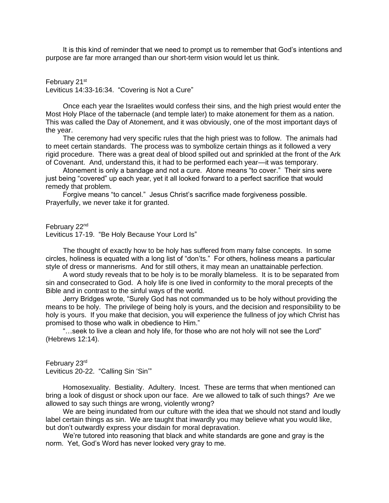It is this kind of reminder that we need to prompt us to remember that God's intentions and purpose are far more arranged than our short-term vision would let us think.

February 21<sup>st</sup> Leviticus 14:33-16:34. "Covering is Not a Cure"

Once each year the Israelites would confess their sins, and the high priest would enter the Most Holy Place of the tabernacle (and temple later) to make atonement for them as a nation. This was called the Day of Atonement, and it was obviously, one of the most important days of the year.

The ceremony had very specific rules that the high priest was to follow. The animals had to meet certain standards. The process was to symbolize certain things as it followed a very rigid procedure. There was a great deal of blood spilled out and sprinkled at the front of the Ark of Covenant. And, understand this, it had to be performed each year—it was temporary.

Atonement is only a bandage and not a cure. Atone means "to cover." Their sins were just being "covered" up each year, yet it all looked forward to a perfect sacrifice that would remedy that problem.

Forgive means "to cancel." Jesus Christ's sacrifice made forgiveness possible. Prayerfully, we never take it for granted.

February 22<sup>nd</sup>

Leviticus 17-19. "Be Holy Because Your Lord Is"

The thought of exactly how to be holy has suffered from many false concepts. In some circles, holiness is equated with a long list of "don'ts." For others, holiness means a particular style of dress or mannerisms. And for still others, it may mean an unattainable perfection.

A word study reveals that to be holy is to be morally blameless. It is to be separated from sin and consecrated to God. A holy life is one lived in conformity to the moral precepts of the Bible and in contrast to the sinful ways of the world.

Jerry Bridges wrote, "Surely God has not commanded us to be holy without providing the means to be holy. The privilege of being holy is yours, and the decision and responsibility to be holy is yours. If you make that decision, you will experience the fullness of joy which Christ has promised to those who walk in obedience to Him."

"…seek to live a clean and holy life, for those who are not holy will not see the Lord" (Hebrews 12:14).

February 23rd Leviticus 20-22. "Calling Sin 'Sin'"

Homosexuality. Bestiality. Adultery. Incest. These are terms that when mentioned can bring a look of disgust or shock upon our face. Are we allowed to talk of such things? Are we allowed to say such things are wrong, violently wrong?

We are being inundated from our culture with the idea that we should not stand and loudly label certain things as sin. We are taught that inwardly you may believe what you would like, but don't outwardly express your disdain for moral depravation.

We're tutored into reasoning that black and white standards are gone and gray is the norm. Yet, God's Word has never looked very gray to me.